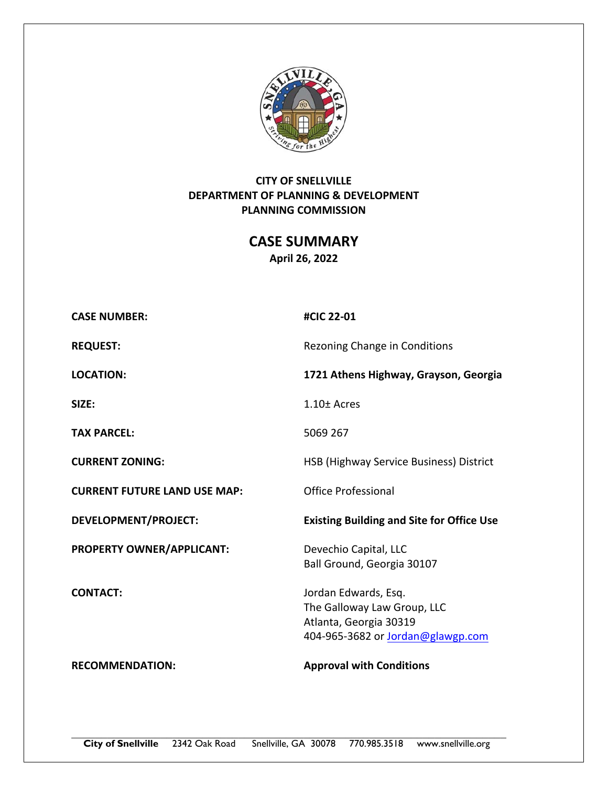

# **CITY OF SNELLVILLE DEPARTMENT OF PLANNING & DEVELOPMENT PLANNING COMMISSION**

**CASE SUMMARY April 26, 2022** 

| <b>CASE NUMBER:</b>                 | #CIC 22-01                                                                                                                |
|-------------------------------------|---------------------------------------------------------------------------------------------------------------------------|
| <b>REQUEST:</b>                     | Rezoning Change in Conditions                                                                                             |
| <b>LOCATION:</b>                    | 1721 Athens Highway, Grayson, Georgia                                                                                     |
| SIZE:                               | $1.10 \pm$ Acres                                                                                                          |
| <b>TAX PARCEL:</b>                  | 5069 267                                                                                                                  |
| <b>CURRENT ZONING:</b>              | HSB (Highway Service Business) District                                                                                   |
| <b>CURRENT FUTURE LAND USE MAP:</b> | Office Professional                                                                                                       |
| <b>DEVELOPMENT/PROJECT:</b>         | <b>Existing Building and Site for Office Use</b>                                                                          |
| PROPERTY OWNER/APPLICANT:           | Devechio Capital, LLC<br>Ball Ground, Georgia 30107                                                                       |
| <b>CONTACT:</b>                     | Jordan Edwards, Esq.<br>The Galloway Law Group, LLC<br>Atlanta, Georgia 30319<br>404-965-3682 or <b>Jordan@glawgp.com</b> |
| <b>RECOMMENDATION:</b>              | <b>Approval with Conditions</b>                                                                                           |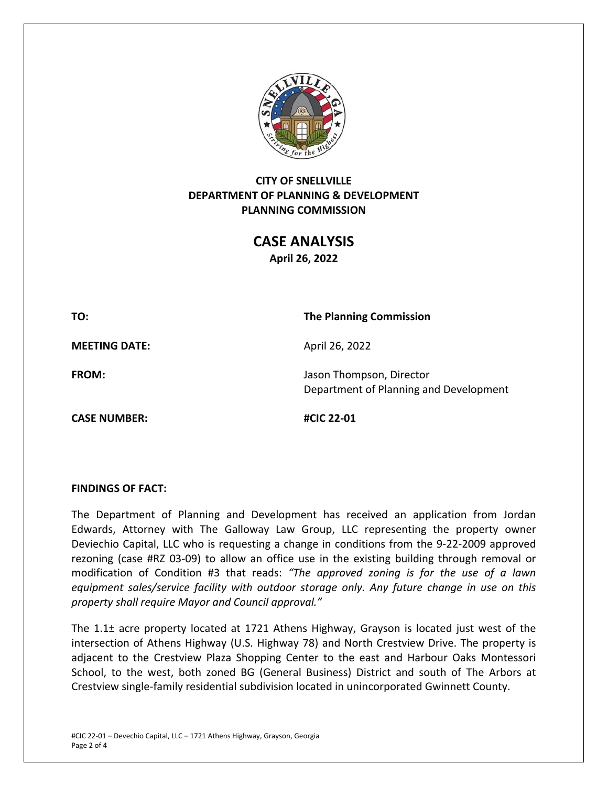

## **CITY OF SNELLVILLE DEPARTMENT OF PLANNING & DEVELOPMENT PLANNING COMMISSION**

**CASE ANALYSIS April 26, 2022** 

**TO: The Planning Commission** 

**MEETING DATE:** April 26, 2022

**CASE NUMBER: #CIC 22‐01** 

**FROM: In the U.S. Islaming The U.S. Propose** Jason Thompson, Director Department of Planning and Development

**FINDINGS OF FACT:** 

The Department of Planning and Development has received an application from Jordan Edwards, Attorney with The Galloway Law Group, LLC representing the property owner Deviechio Capital, LLC who is requesting a change in conditions from the 9‐22‐2009 approved rezoning (case #RZ 03-09) to allow an office use in the existing building through removal or modification of Condition #3 that reads: *"The approved zoning is for the use of a lawn equipment sales/service facility with outdoor storage only. Any future change in use on this property shall require Mayor and Council approval."* 

The 1.1± acre property located at 1721 Athens Highway, Grayson is located just west of the intersection of Athens Highway (U.S. Highway 78) and North Crestview Drive. The property is adjacent to the Crestview Plaza Shopping Center to the east and Harbour Oaks Montessori School, to the west, both zoned BG (General Business) District and south of The Arbors at Crestview single‐family residential subdivision located in unincorporated Gwinnett County.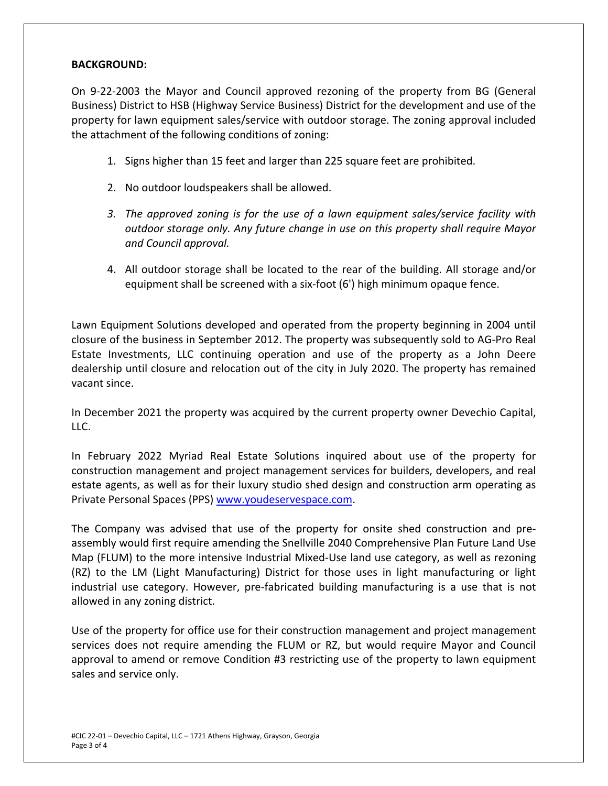### **BACKGROUND:**

On 9-22-2003 the Mayor and Council approved rezoning of the property from BG (General Business) District to HSB (Highway Service Business) District for the development and use of the property for lawn equipment sales/service with outdoor storage. The zoning approval included the attachment of the following conditions of zoning:

- 1. Signs higher than 15 feet and larger than 225 square feet are prohibited.
- 2. No outdoor loudspeakers shall be allowed.
- *3. The approved zoning is for the use of a lawn equipment sales/service facility with outdoor storage only. Any future change in use on this property shall require Mayor and Council approval.*
- 4. All outdoor storage shall be located to the rear of the building. All storage and/or equipment shall be screened with a six‐foot (6') high minimum opaque fence.

Lawn Equipment Solutions developed and operated from the property beginning in 2004 until closure of the business in September 2012. The property was subsequently sold to AG‐Pro Real Estate Investments, LLC continuing operation and use of the property as a John Deere dealership until closure and relocation out of the city in July 2020. The property has remained vacant since.

In December 2021 the property was acquired by the current property owner Devechio Capital, LLC.

In February 2022 Myriad Real Estate Solutions inquired about use of the property for construction management and project management services for builders, developers, and real estate agents, as well as for their luxury studio shed design and construction arm operating as Private Personal Spaces (PPS) www.youdeservespace.com.

The Company was advised that use of the property for onsite shed construction and preassembly would first require amending the Snellville 2040 Comprehensive Plan Future Land Use Map (FLUM) to the more intensive Industrial Mixed‐Use land use category, as well as rezoning (RZ) to the LM (Light Manufacturing) District for those uses in light manufacturing or light industrial use category. However, pre-fabricated building manufacturing is a use that is not allowed in any zoning district.

Use of the property for office use for their construction management and project management services does not require amending the FLUM or RZ, but would require Mayor and Council approval to amend or remove Condition #3 restricting use of the property to lawn equipment sales and service only.